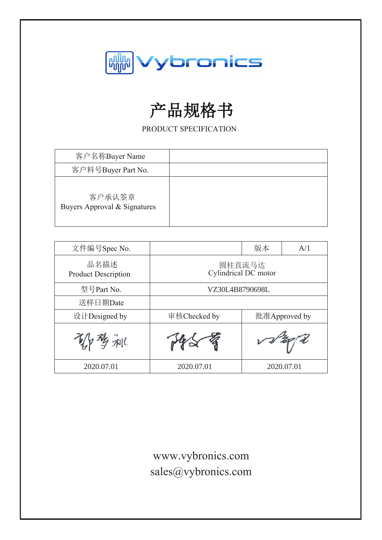

# 产品规格书

PRODUCT SPECIFICATION

| 客户名称Buyer Name                         |  |
|----------------------------------------|--|
| 客户料号Buyer Part No.                     |  |
| 客户承认签章<br>Buyers Approval & Signatures |  |

| 文件编号Spec No.                       |                 | 版本                             | A/1           |
|------------------------------------|-----------------|--------------------------------|---------------|
| 品名描述<br><b>Product Description</b> |                 | 圆柱直流马达<br>Cylindrical DC motor |               |
| 型号Part No.                         | VZ30L4B8790698L |                                |               |
| 送样日期Date                           |                 |                                |               |
| 设计Designed by                      | 审核Checked by    |                                | 批准Approved by |
| / 梦 利(                             |                 |                                | $v\sqrt{2}$   |
| 2020.07.01                         | 2020.07.01      |                                | 2020.07.01    |

www.vybronics.com sales@vybronics.com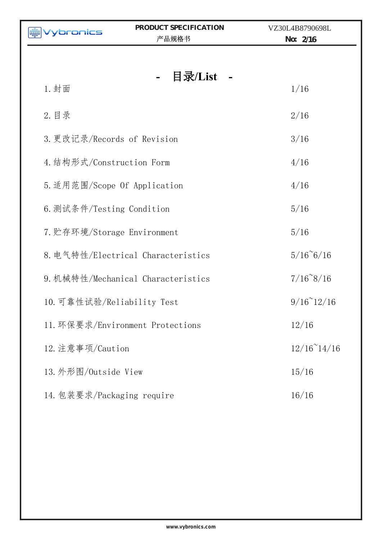| ybronics                     | PRODUCT SPECIFICATION<br>产品规格书     | VZ30L4B8790698L<br>No: $2/16$ |
|------------------------------|------------------------------------|-------------------------------|
|                              |                                    |                               |
| 1. 封面                        | 目录/List                            | 1/16                          |
| 2. 目录                        |                                    | 2/16                          |
| 3. 更改记录/Records of Revision  |                                    | 3/16                          |
| 4. 结构形式/Construction Form    |                                    | 4/16                          |
| 5. 适用范围/Scope Of Application |                                    | 4/16                          |
| 6. 测试条件/Testing Condition    | 5/16                               |                               |
| 7. 贮存环境/Storage Environment  |                                    | 5/16                          |
|                              | 8. 电气特性/Electrical Characteristics | $5/16^{\circ}6/16$            |
|                              | 9. 机械特性/Mechanical Characteristics | $7/16^{\circ}8/16$            |
| 10. 可靠性试验/Reliability Test   |                                    | $9/16^{\circ}12/16$           |
|                              | 11. 环保要求/Environment Protections   | 12/16                         |
| 12. 注意事项/Caution             |                                    | $12/16^{\circ}14/16$          |
| 13. 外形图/Outside View         |                                    | 15/16                         |
| 14. 包装要求/Packaging require   |                                    | 16/16                         |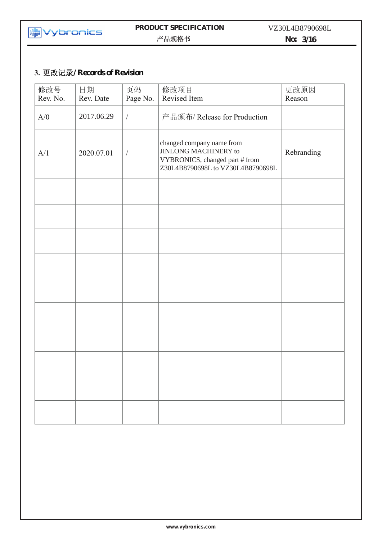

### **PRODUCT SPECIFICATION**  产品规格书

VZ30L4B8790698L

**No: 3/16**

# **3.** 更改记录**/ Records of Revision**

| 修改号<br>Rev. No. | 日期<br>Rev. Date | 页码<br>Page No. | 修改项目<br>Revised Item                                                                                                            | 更改原因<br>Reason |
|-----------------|-----------------|----------------|---------------------------------------------------------------------------------------------------------------------------------|----------------|
| A/0             | 2017.06.29      | $\sqrt{ }$     | 产品颁布/ Release for Production                                                                                                    |                |
| A/1             | 2020.07.01      | $\sqrt{2}$     | changed company name from<br><b>JINLONG MACHINERY to</b><br>VYBRONICS, changed part # from<br>Z30L4B8790698L to VZ30L4B8790698L | Rebranding     |
|                 |                 |                |                                                                                                                                 |                |
|                 |                 |                |                                                                                                                                 |                |
|                 |                 |                |                                                                                                                                 |                |
|                 |                 |                |                                                                                                                                 |                |
|                 |                 |                |                                                                                                                                 |                |
|                 |                 |                |                                                                                                                                 |                |
|                 |                 |                |                                                                                                                                 |                |
|                 |                 |                |                                                                                                                                 |                |
|                 |                 |                |                                                                                                                                 |                |
|                 |                 |                |                                                                                                                                 |                |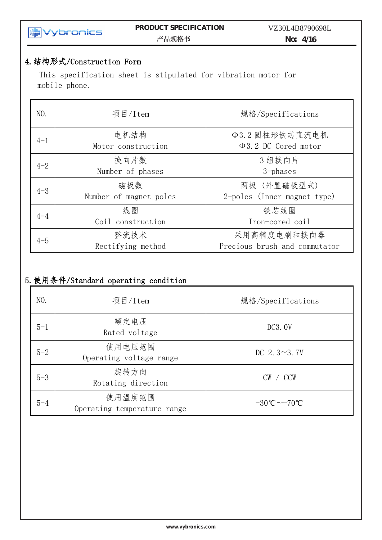### **PRODUCT SPECIFICATION**  RODUCT SPECII) PRODUCT SPECII<br>产品规格书

**No: 4/16**

# 4.结构形式/Construction Form

This specification sheet is stipulated for vibration motor for mobile phone.

 $\mathcal{L}$  Specifications  $\mathcal{L}$  Specifications  $\mathcal{L}$  and  $\mathcal{L}$  and  $\mathcal{L}$  and  $\mathcal{L}$  and  $\mathcal{L}$ 

| NO.     | 项目/Item                       | 规格/Specifications                            |
|---------|-------------------------------|----------------------------------------------|
| $4 - 1$ | 电机结构<br>Motor construction    | Φ3.2 圆柱形铁芯直流电机<br>$\Phi$ 3.2 DC Cored motor  |
| $4 - 2$ | 换向片数<br>Number of phases      | 3组换向片<br>$3$ -phases                         |
| $4 - 3$ | 磁极数<br>Number of magnet poles | 两极 (外置磁极型式)<br>2-poles (Inner magnet type)   |
| $4 - 4$ | 线圈<br>Coil construction       | 铁芯线圈<br>Iron-cored coil                      |
| $4 - 5$ | 整流技术<br>Rectifying method     | 采用高精度电刷和换向器<br>Precious brush and commutator |

# 5.使用条件/Standard operating condition

| NO.     | 项目/Item                               | 规格/Specifications             |
|---------|---------------------------------------|-------------------------------|
| $5 - 1$ | 额定电压<br>Rated voltage                 | DC3.0V                        |
| $5 - 2$ | 使用电压范围<br>Operating voltage range     | DC $2.3 \sim 3.7V$            |
| $5 - 3$ | 旋转方向<br>Rotating direction            | $CW \, / \, CCW$              |
| $5 - 4$ | 使用温度范围<br>Operating temperature range | $-30^{\circ}$ C $\sim$ +70 °C |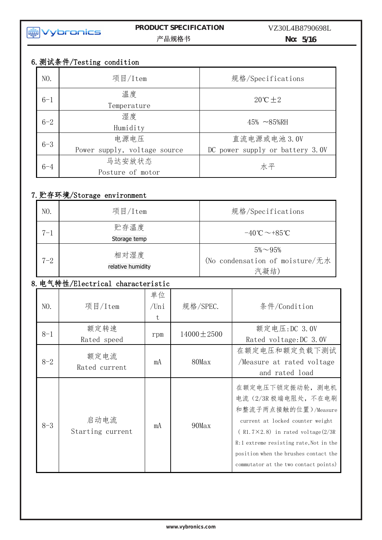

### **PRODUCT SPECIFICATION No:** 5/16  $\sim$  Specifications  $\sim$  2017-07-29  $\sim$  2017-07-29  $\sim$  2017-07-29  $\sim$  2017-07-29  $\sim$

# 6.测试条件/Testing condition

| NO.     | 项目/Item                              | 规格/Specifications                               |
|---------|--------------------------------------|-------------------------------------------------|
| $6 - 1$ | 温度<br>Temperature                    | $20^{\circ}C \pm 2$                             |
| $6 - 2$ | 湿度<br>Humidity                       | $45\%~ - 85\% RH$                               |
| $6 - 3$ | 电源电压<br>Power supply, voltage source | 直流电源或电池 3.0V<br>DC power supply or battery 3.0V |
| $6 - 4$ | 马达安放状态<br>Posture of motor           | 水平                                              |

# 7.贮存环境/Storage environment

| NO.     | 项目/Item                   | 规格/Specifications                                          |
|---------|---------------------------|------------------------------------------------------------|
| $7 - 1$ | 贮存温度<br>Storage temp      | $-40^{\circ}C \sim +85^{\circ}C$                           |
| $7 - 2$ | 相对湿度<br>relative humidity | $5\% \sim 95\%$<br>(No condensation of moisture/无水<br>汽凝结) |

# 8.电气特性/Electrical characteristic

| NO.     | 项目/Item                  | 单位<br>/Uni<br>$t_{i}$ | 规格/SPEC.         | 条件/Condition                                                                                                                                                                                                                                                                   |
|---------|--------------------------|-----------------------|------------------|--------------------------------------------------------------------------------------------------------------------------------------------------------------------------------------------------------------------------------------------------------------------------------|
| $8 - 1$ | 额定转速<br>Rated speed      | rpm                   | $14000 \pm 2500$ | 额定电压: DC 3.0V<br>Rated voltage: DC 3.0V                                                                                                                                                                                                                                        |
| $8 - 2$ | 额定电流<br>Rated current    | mA                    | 80Max            | 在额定电压和额定负载下测试<br>Measure at rated voltage<br>and rated load                                                                                                                                                                                                                    |
| $8 - 3$ | 启动电流<br>Starting current | mA                    | 90Max            | 在额定电压下锁定振动轮, 测电机<br>电流 (2/3R极端电阻处, 不在电刷<br>和整流子两点接触的位置)/Measure<br>current at locked counter weight<br>$(R1.7\times2.8)$ in rated voltage $(2/3R)$<br>R:1 extreme resisting rate, Not in the<br>position when the brushes contact the<br>commutator at the two contact points) |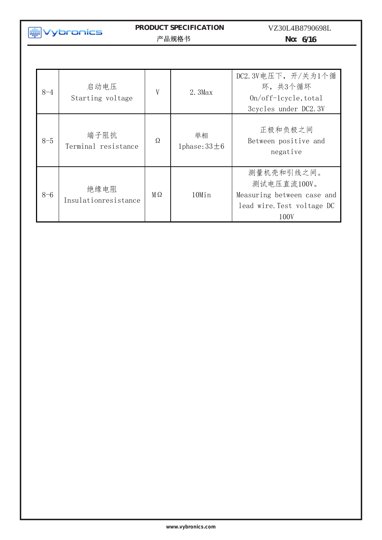### **PRODUCT SPECIFICATION**  产品规格书/Specifications 日期/Date : 2017-06-29

VZ30L4B8790698L

**No: 6/16**

| $8 - 4$ | 启动电压<br>Starting voltage     | V  | $2.3$ Max              | DC2.3V电压下,开/关为1个循<br>环,共3个循环<br>$0n/off-level$ , total<br>3cycles under DC2.3V                |
|---------|------------------------------|----|------------------------|-----------------------------------------------------------------------------------------------|
| $8 - 5$ | 端子阻抗<br>Terminal resistance  | Ω  | 单相<br>1phase: $33\pm6$ | 正极和负极之间<br>Between positive and<br>negative                                                   |
| $8 - 6$ | 绝缘电阻<br>Insulationresistance | MΩ | 10Min                  | 测量机壳和引线之间。<br>测试电压直流100V。<br>Measuring between case and<br>lead wire. Test voltage DC<br>100V |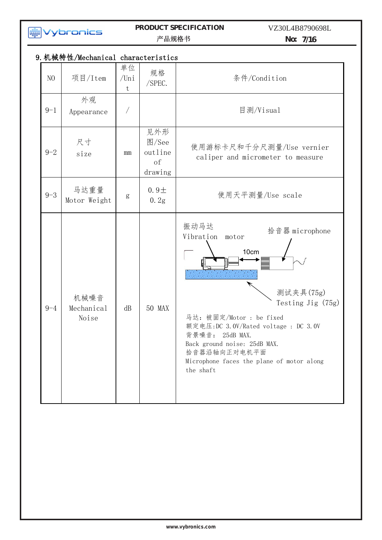

# **PRODUCT SPECIFICATION**

VZ30L4B8790698L

产品规格书/Specifications 日期/Date : 2017-06-29

**No: 7/16**

|                | 9. 机械特性/Mechanical characteristics |                                                |                |                                                                                                                                                                                                                                                                                            |
|----------------|------------------------------------|------------------------------------------------|----------------|--------------------------------------------------------------------------------------------------------------------------------------------------------------------------------------------------------------------------------------------------------------------------------------------|
| N <sub>O</sub> | 项目/Item                            | 单位<br>$/$ Uni<br>t                             | 规格<br>/SPEC.   | 条件/Condition                                                                                                                                                                                                                                                                               |
| $9 - 1$        | 外观<br>Appearance                   |                                                |                | 目测/Visual                                                                                                                                                                                                                                                                                  |
| $9 - 2$        | 尺寸<br>size                         | 见外形<br>图/See<br>outline<br>mm<br>of<br>drawing |                | 使用游标卡尺和千分尺测量/Use vernier<br>caliper and micrometer to measure                                                                                                                                                                                                                              |
| $9 - 3$        | 马达重量<br>Motor Weight               | g                                              | $0.9+$<br>0.2g | 使用天平测量/Use scale                                                                                                                                                                                                                                                                           |
| $9 - 4$        | 机械噪音<br>Mechanical<br>Noise        | dB                                             | <b>50 MAX</b>  | 振动马达<br>拾音器 microphone<br>Vibration<br>motor<br>10cm<br>测试夹具(75g)<br>Testing Jig (75g)<br>马达: 被固定/Motor : be fixed<br>额定电压:DC 3.0V/Rated voltage : DC 3.0V<br>背景噪音:<br>25dB MAX.<br>Back ground noise: 25dB MAX.<br>拾音器沿轴向正对电机平面<br>Microphone faces the plane of motor along<br>the shaft |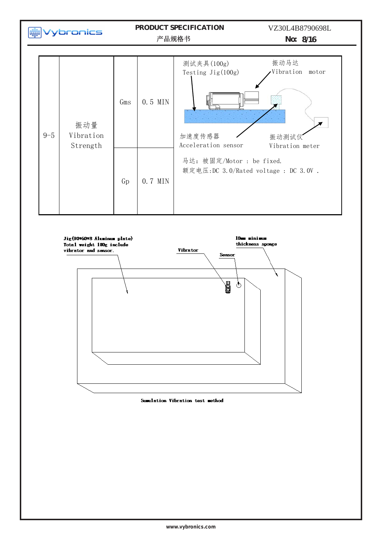

**www.vybronics.com**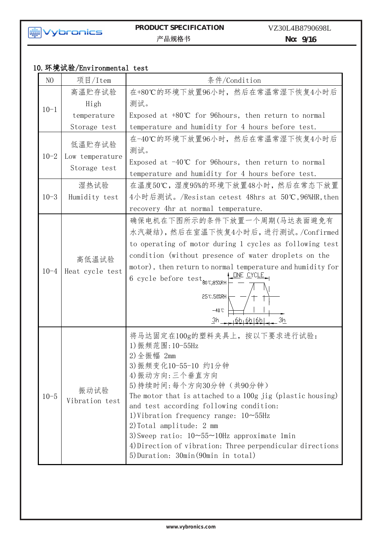

# **PRODUCT SPECIFICATION** VZ30L

VZ30L4B8790698L

**No: 9/16**  $\frac{1}{10.90}$ 

# 10.环境试验/Environmental test

| N <sub>O</sub> | 项目/Item                                   | 条件/Condition                                                                                                                                                                                                                                                                                                                                                                                                                                                                             |
|----------------|-------------------------------------------|------------------------------------------------------------------------------------------------------------------------------------------------------------------------------------------------------------------------------------------------------------------------------------------------------------------------------------------------------------------------------------------------------------------------------------------------------------------------------------------|
|                | 高温贮存试验                                    | 在+80℃的环境下放置96小时, 然后在常温常湿下恢复4小时后                                                                                                                                                                                                                                                                                                                                                                                                                                                          |
| $10 - 1$       | High                                      | 测试。                                                                                                                                                                                                                                                                                                                                                                                                                                                                                      |
|                | temperature                               | Exposed at $+80^{\circ}$ for 96 hours, then return to normal                                                                                                                                                                                                                                                                                                                                                                                                                             |
|                | Storage test                              | temperature and humidity for 4 hours before test.                                                                                                                                                                                                                                                                                                                                                                                                                                        |
| $10 - 2$       | 低温贮存试验<br>Low temperature<br>Storage test | 在-40℃的环境下放置96小时, 然后在常温常湿下恢复4小时后<br>测试。<br>Exposed at $-40^{\circ}C$ for 96 hours, then return to normal<br>temperature and humidity for 4 hours before test.                                                                                                                                                                                                                                                                                                                             |
|                | 湿热试验                                      | 在温度50℃,湿度95%的环境下放置48小时,然后在常态下放置                                                                                                                                                                                                                                                                                                                                                                                                                                                          |
| $10 - 3$       | Humidity test                             | 4小时后测试。/Resistan cetest 48hrs at 50℃,96%HR,then                                                                                                                                                                                                                                                                                                                                                                                                                                          |
|                |                                           | recovery 4hr at normal temperature.                                                                                                                                                                                                                                                                                                                                                                                                                                                      |
| $10 - 4$       | 高低温试验<br>Heat cycle test                  | 确保电机在下图所示的条件下放置一个周期(马达表面避免有<br>水汽凝结),然后在室温下恢复4小时后,进行测试。/Confirmed<br>to operating of motor during 1 cycles as following test<br>condition (without presence of water droplets on the<br>motor), then return to normal temperature and humidity for<br><u>ONE CYCLE</u><br>6 cycle before $\text{test}_{\text{80°C},\text{85ZRH}}$<br>25°C,50%RH<br>$-40^{\circ}$ C<br>$3h - 6h_16h_16h_2$<br>Зh                                                                                          |
| $10 - 5$       | 振动试验<br>Vibration test                    | 将马达固定在100g的塑料夹具上, 按以下要求进行试验:<br>1) 振频范围: 10-55Hz<br>2)全振幅 2mm<br>3) 振频变化10-55-10 约1分钟<br>4) 振动方向: 三个垂直方向<br>5) 持续时间: 每个方向30分钟(共90分钟)<br>The motor that is attached to a 100g jig (plastic housing)<br>and test according following condition:<br>1) Vibration frequency range: $10\neg 55Hz$<br>2) Total amplitude: 2 mm<br>3) Sweep ratio: $10 \sim 55 \sim 10$ Hz approximate 1min<br>4) Direction of vibration: Three perpendicular directions<br>5) Duration: 30min (90min in total) |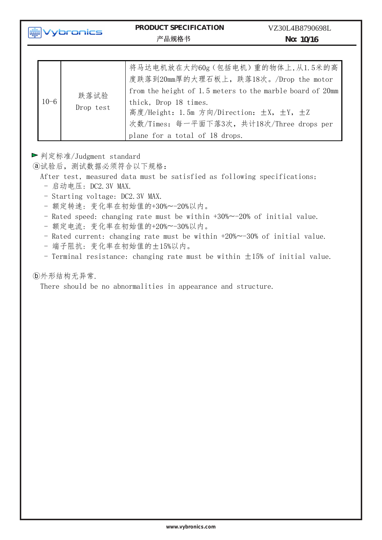| $10 - 6$ | 跌落试验<br>Drop test | 将马达电机放在大约60g(包括电机)重的物体上,从1.5米的高<br>度跌落到20mm厚的大理石板上, 跌落18次。/Drop the motor<br>from the height of 1.5 meters to the marble board of 20mm<br>thick, Drop 18 times.<br>高度/Height: 1.5m 方向/Direction: ±X, ±Y, ±Z<br>次数/Times: 每一平面下落3次, 共计18次/Three drops per<br>plane for a total of 18 drops. |
|----------|-------------------|--------------------------------------------------------------------------------------------------------------------------------------------------------------------------------------------------------------------------------------------------------------------------------------------|
|----------|-------------------|--------------------------------------------------------------------------------------------------------------------------------------------------------------------------------------------------------------------------------------------------------------------------------------------|

▶判定标准/Judgment standard

ⓐ试验后,测试数据必须符合以下规格:

After test, measured data must be satisfied as following specifications;

- 启动电压: DC2.3V MAX.
- Starting voltage: DC2.3V MAX.
- 额定转速: 变化率在初始值的+30%~-20%以内。
- Rated speed: changing rate must be within +30%~-20% of initial value.
- 额定电流: 变化率在初始值的+20%~-30%以内。
- Rated current: changing rate must be within +20%~-30% of initial value.
- 端子阻抗: 变化率在初始值的±15%以内。
- Terminal resistance: changing rate must be within  $\pm 15%$  of initial value.

### ⓑ外形结构无异常.

There should be no abnormalities in appearance and structure.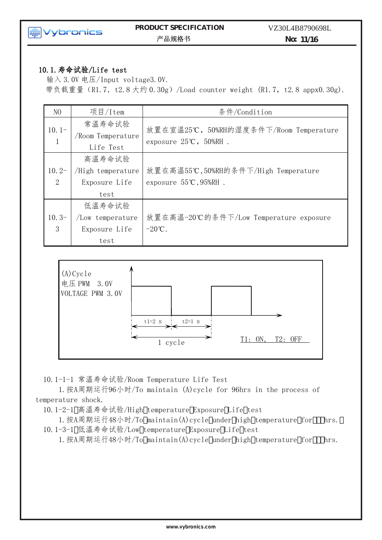

### **PRODUCT SPECIFICATION**  Mg Vybronics PRODUCT SPECII<br>产品规格书

 $\mathcal{L}$  Specifications  $\mathcal{L}$  Specifications  $\mathcal{L}$  and  $\mathcal{L}$  and  $\mathcal{L}$  and  $\mathcal{L}$  and  $\mathcal{L}$ 

**No: 11/16**

### 10.1.寿命试验/Life test

输入 3.0V 电压/Input voltage3.0V. 带负载重量 (R1.7, t2.8 大约 0.30g) /Load counter weight (R1.7, t2.8 appx0.30g).

| N <sub>O</sub>            | 项目/Item                                              | 条件/Condition                                                                         |
|---------------------------|------------------------------------------------------|--------------------------------------------------------------------------------------|
| $10.1-$<br>$\overline{1}$ | 常温寿命试验<br>/Room Temperature<br>Life Test             | 放置在室温25℃, 50%RH的湿度条件下/Room Temperature<br>exposure $25^{\circ}\text{C}$ , $50\%$ RH. |
| $10.2-$<br>2              | 高温寿命试验<br>/High temperature<br>Exposure Life<br>test | 放置在高温55℃,50%RH的条件下/High Temperature<br>exposure $55^{\circ}C$ , $95\%$ RH.           |
| $10.3-$<br>3              | 低温寿命试验<br>/Low temperature<br>Exposure Life<br>test  | 放置在高温-20℃的条件下/Low Temperature exposure<br>$-20^{\circ}C$ .                           |



10.1-1-1 常温寿命试验/Room Temperature Life Test

1.按A周期运行96小时/To maintain (A)cycle for 96hrs in the process of temperature shock.

10.1-2-1 高温寿命试验/High temperature Exposure Life test

1. 按A周期运行48小时/To maintain(A)cycle under high temperature for (, hrs. 10.1-3-1 低温寿命试验/Low temperature Exposure Life test

1. 按A周期运行48小时/To maintain(A)cycle under high temperature for (, hrs.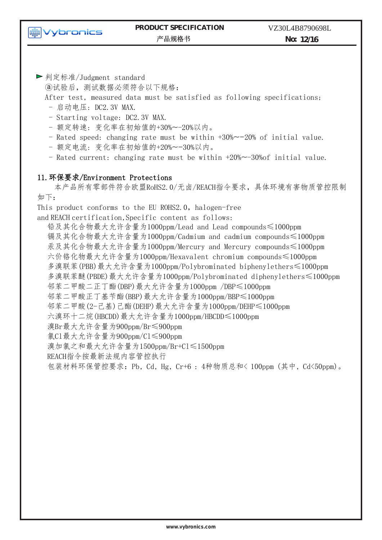

**No: 12/16**

▶判定标准/Judgment standard

ⓐ试验后,测试数据必须符合以下规格:

After test, measured data must be satisfied as following specifications;

- 启动电压: DC2.3V MAX.
- Starting voltage: DC2.3V MAX.
- 额定转速: 变化率在初始值的+30%~-20%以内。
- Rated speed: changing rate must be within +30%~-20% of initial value.
- 额定电流: 变化率在初始值的+20%~-30%以内。
- Rated current: changing rate must be within +20%~-30%of initial value.

### 11.环保要求/Environment Protections

本产品所有零部件符合欧盟RoHS2.0/无卤/REACH指令要求,具体环境有害物质管控限制 如下:

This product conforms to the EU ROHS2.0, halogen-free

and REACH certification,Specific content as follows:

铅及其化合物最大允许含量为1000ppm/Lead and Lead compounds≤1000ppm 镉及其化合物最大允许含量为1000ppm/Cadmium and cadmium compounds≤1000ppm 汞及其化合物最大允许含量为1000ppm/Mercury and Mercury compounds≤1000ppm 六价铬化物最大允许含量为1000ppm/Hexavalent chromium compounds≤1000ppm 多溴联苯(PBB)最大允许含量为1000ppm/Polybrominated biphenylethers≤1000ppm 多溴联苯醚(PBDE)最大允许含量为1000ppm/Polybrominated diphenylethers≤1000ppm 邻苯二甲酸二正丁酯(DBP)最大允许含量为1000ppm /DBP≤1000ppm 邻苯二甲酸正丁基苄酯(BBP)最大允许含量为1000ppm/BBP≤1000ppm 邻苯二甲酸(2-己基)己酯(DEHP)最大允许含量为1000ppm/DEHP≤1000ppm 六溴环十二烷(HBCDD)最大允许含量为1000ppm/HBCDD≤1000ppm 溴Br最大允许含量为900ppm/Br≤900ppm 氯Cl最大允许含量为900ppm/Cl≤900ppm 溴加氯之和最大允许含量为1500ppm/Br+Cl≤1500ppm REACH指令按最新法规内容管控执行 包装材料环保管控要求:Pb, Cd, Hg, Cr+6 : 4种物质总和< 100ppm (其中, Cd<50ppm)。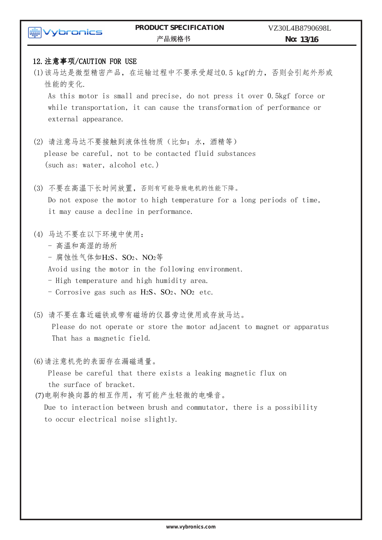| ybronics                           | PRODUCT SPECIFICATION<br>产品规格书                                                                                                                      | VZ30L4B8790698L<br>No: 13/16 |
|------------------------------------|-----------------------------------------------------------------------------------------------------------------------------------------------------|------------------------------|
|                                    |                                                                                                                                                     |                              |
| 12. 注意事项/CAUTION FOR USE<br>性能的变化. | (1)该马达是微型精密产品, 在运输过程中不要承受超过0.5 kgf的力, 否则会引起外形或                                                                                                      |                              |
| external appearance.               | As this motor is small and precise, do not press it over 0.5kgf force or<br>while transportation, it can cause the transformation of performance or |                              |
|                                    | (2) 请注意马达不要接触到液体性物质(比如: 水, 酒精等)                                                                                                                     |                              |
|                                    | please be careful, not to be contacted fluid substances                                                                                             |                              |
| (such as: water, alcohol etc.)     |                                                                                                                                                     |                              |
| (3)                                | 不要在高温下长时间放置,否则有可能导致电机的性能下降。                                                                                                                         |                              |
|                                    | Do not expose the motor to high temperature for a long periods of time,                                                                             |                              |
|                                    | it may cause a decline in performance.                                                                                                              |                              |
| 马达不要在以下环境中使用:<br>(4)               |                                                                                                                                                     |                              |
| - 高温和高湿的场所                         |                                                                                                                                                     |                              |
| - 腐蚀性气体如H2S、SO2、NO2等               |                                                                                                                                                     |                              |
|                                    | Avoid using the motor in the following environment.                                                                                                 |                              |
|                                    | - High temperature and high humidity area.                                                                                                          |                              |
|                                    | - Corrosive gas such as $H_2S$ , $SO_2$ , $NO_2$ etc.                                                                                               |                              |
| (5)                                | 请不要在靠近磁铁或带有磁场的仪器旁边使用或存放马达。                                                                                                                          |                              |
|                                    | Please do not operate or store the motor adjacent to magnet or apparatus                                                                            |                              |
| That has a magnetic field.         |                                                                                                                                                     |                              |
| (6)请注意机壳的表面存在漏磁通量。                 |                                                                                                                                                     |                              |
|                                    | Please be careful that there exists a leaking magnetic flux on                                                                                      |                              |
| the surface of bracket.            |                                                                                                                                                     |                              |
|                                    | (7)电刷和换向器的相互作用,有可能产生轻微的电噪音。                                                                                                                         |                              |
|                                    | Due to interaction between brush and commutator, there is a possibility                                                                             |                              |
|                                    | to occur electrical noise slightly.                                                                                                                 |                              |

 $\mathcal{L}$  Specifications  $\mathcal{L}$  Specifications  $\mathcal{L}$  and  $\mathcal{L}$  and  $\mathcal{L}$  and  $\mathcal{L}$  and  $\mathcal{L}$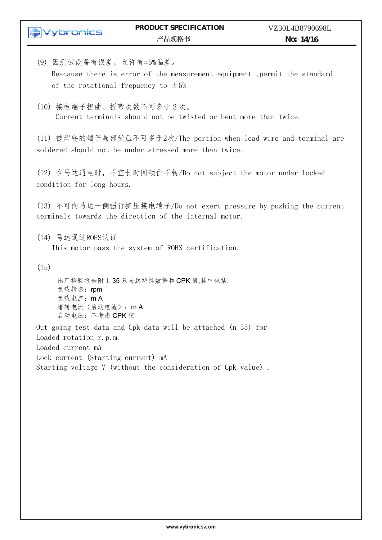(9) 因测试设备有误差,允许有±5%偏差。 Beacause there is error of the measurement equipment ,permit the standard of the rotational frepuency to  $\pm 5%$ 

(10) 接电端子扭曲、折弯次数不可多于 2 次。 Current terminals should not be twisted or bent more than twice.

(11) 被焊锡的端子局部受压不可多于2次/The portion when lead wire and terminal are soldered should not be under stressed more than twice.

(12) 在马达通电时,不宜长时间锁住不转/Do not subject the motor under locked condition for long hours.

(13) 不可向马达一侧强行挤压接电端子/Do not exert pressure by pushing the current terminals towards the direction of the internal motor.

(14) 马达通过ROHS认证

This motor pass the system of ROHS certification.

 $(15)$ 

出厂检验报告附上 35 只马达特性数据和 CPK 值,其中包括: 负载转速: rpm 负载电流:m A 堵转电流(启动电流):m A 启动电压:不考虑 CPK 值

Out-going test data and Cpk data will be attached  $(n-35)$  for Loaded rotation r.p.m. Loaded current mA Lock current (Starting current) mA

Starting voltage V (without the consideration of Cpk value) .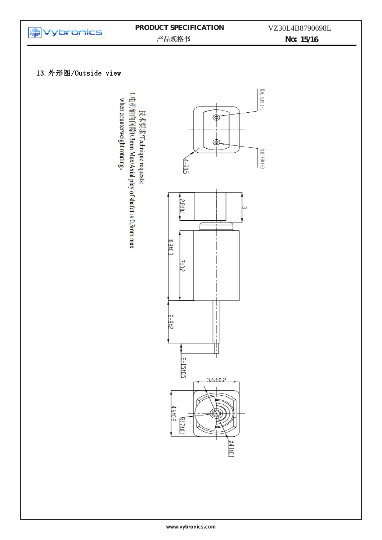

# **PRODUCT SPECIFICATION**

VZ30L4B8790698L

No: 15/16

## 13.外形图/Outside view